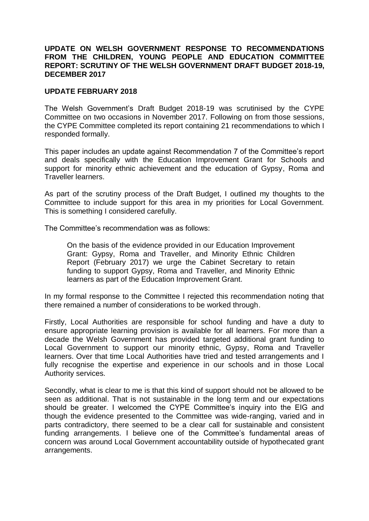## **UPDATE ON WELSH GOVERNMENT RESPONSE TO RECOMMENDATIONS FROM THE CHILDREN, YOUNG PEOPLE AND EDUCATION COMMITTEE REPORT: SCRUTINY OF THE WELSH GOVERNMENT DRAFT BUDGET 2018-19, DECEMBER 2017**

## **UPDATE FEBRUARY 2018**

The Welsh Government's Draft Budget 2018-19 was scrutinised by the CYPE Committee on two occasions in November 2017. Following on from those sessions, the CYPE Committee completed its report containing 21 recommendations to which I responded formally.

This paper includes an update against Recommendation 7 of the Committee's report and deals specifically with the Education Improvement Grant for Schools and support for minority ethnic achievement and the education of Gypsy, Roma and Traveller learners.

As part of the scrutiny process of the Draft Budget, I outlined my thoughts to the Committee to include support for this area in my priorities for Local Government. This is something I considered carefully.

The Committee's recommendation was as follows:

On the basis of the evidence provided in our Education Improvement Grant: Gypsy, Roma and Traveller, and Minority Ethnic Children Report (February 2017) we urge the Cabinet Secretary to retain funding to support Gypsy, Roma and Traveller, and Minority Ethnic learners as part of the Education Improvement Grant.

In my formal response to the Committee I rejected this recommendation noting that there remained a number of considerations to be worked through.

Firstly, Local Authorities are responsible for school funding and have a duty to ensure appropriate learning provision is available for all learners. For more than a decade the Welsh Government has provided targeted additional grant funding to Local Government to support our minority ethnic, Gypsy, Roma and Traveller learners. Over that time Local Authorities have tried and tested arrangements and I fully recognise the expertise and experience in our schools and in those Local Authority services.

Secondly, what is clear to me is that this kind of support should not be allowed to be seen as additional. That is not sustainable in the long term and our expectations should be greater. I welcomed the CYPE Committee's inquiry into the EIG and though the evidence presented to the Committee was wide-ranging, varied and in parts contradictory, there seemed to be a clear call for sustainable and consistent funding arrangements. I believe one of the Committee's fundamental areas of concern was around Local Government accountability outside of hypothecated grant arrangements.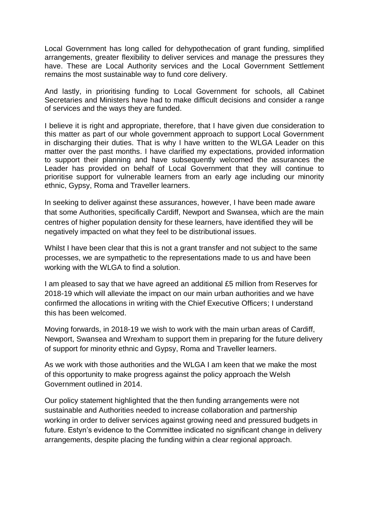Local Government has long called for dehypothecation of grant funding, simplified arrangements, greater flexibility to deliver services and manage the pressures they have. These are Local Authority services and the Local Government Settlement remains the most sustainable way to fund core delivery.

And lastly, in prioritising funding to Local Government for schools, all Cabinet Secretaries and Ministers have had to make difficult decisions and consider a range of services and the ways they are funded.

I believe it is right and appropriate, therefore, that I have given due consideration to this matter as part of our whole government approach to support Local Government in discharging their duties. That is why I have written to the WLGA Leader on this matter over the past months. I have clarified my expectations, provided information to support their planning and have subsequently welcomed the assurances the Leader has provided on behalf of Local Government that they will continue to prioritise support for vulnerable learners from an early age including our minority ethnic, Gypsy, Roma and Traveller learners.

In seeking to deliver against these assurances, however, I have been made aware that some Authorities, specifically Cardiff, Newport and Swansea, which are the main centres of higher population density for these learners, have identified they will be negatively impacted on what they feel to be distributional issues.

Whilst I have been clear that this is not a grant transfer and not subject to the same processes, we are sympathetic to the representations made to us and have been working with the WLGA to find a solution.

I am pleased to say that we have agreed an additional £5 million from Reserves for 2018-19 which will alleviate the impact on our main urban authorities and we have confirmed the allocations in writing with the Chief Executive Officers; I understand this has been welcomed.

Moving forwards, in 2018-19 we wish to work with the main urban areas of Cardiff, Newport, Swansea and Wrexham to support them in preparing for the future delivery of support for minority ethnic and Gypsy, Roma and Traveller learners.

As we work with those authorities and the WLGA I am keen that we make the most of this opportunity to make progress against the policy approach the Welsh Government outlined in 2014.

Our policy statement highlighted that the then funding arrangements were not sustainable and Authorities needed to increase collaboration and partnership working in order to deliver services against growing need and pressured budgets in future. Estyn's evidence to the Committee indicated no significant change in delivery arrangements, despite placing the funding within a clear regional approach.